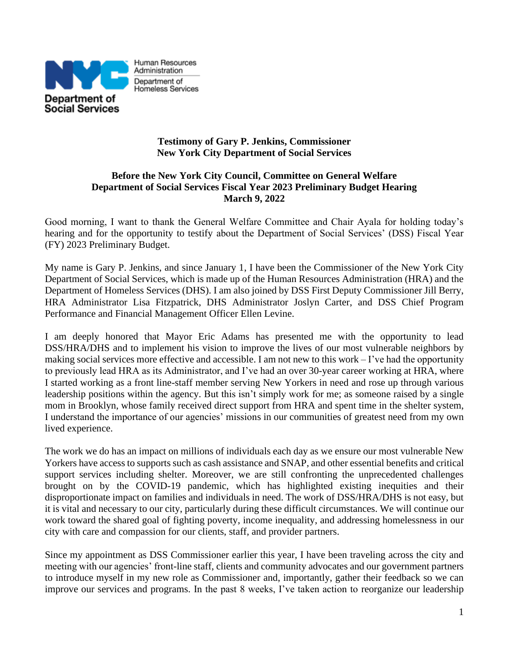

#### **Testimony of Gary P. Jenkins, Commissioner New York City Department of Social Services**

### **Before the New York City Council, Committee on General Welfare Department of Social Services Fiscal Year 2023 Preliminary Budget Hearing March 9, 2022**

Good morning, I want to thank the General Welfare Committee and Chair Ayala for holding today's hearing and for the opportunity to testify about the Department of Social Services' (DSS) Fiscal Year (FY) 2023 Preliminary Budget.

My name is Gary P. Jenkins, and since January 1, I have been the Commissioner of the New York City Department of Social Services, which is made up of the Human Resources Administration (HRA) and the Department of Homeless Services (DHS). I am also joined by DSS First Deputy Commissioner Jill Berry, HRA Administrator Lisa Fitzpatrick, DHS Administrator Joslyn Carter, and DSS Chief Program Performance and Financial Management Officer Ellen Levine.

I am deeply honored that Mayor Eric Adams has presented me with the opportunity to lead DSS/HRA/DHS and to implement his vision to improve the lives of our most vulnerable neighbors by making social services more effective and accessible. I am not new to this work – I've had the opportunity to previously lead HRA as its Administrator, and I've had an over 30-year career working at HRA, where I started working as a front line-staff member serving New Yorkers in need and rose up through various leadership positions within the agency. But this isn't simply work for me; as someone raised by a single mom in Brooklyn, whose family received direct support from HRA and spent time in the shelter system, I understand the importance of our agencies' missions in our communities of greatest need from my own lived experience.

The work we do has an impact on millions of individuals each day as we ensure our most vulnerable New Yorkers have access to supports such as cash assistance and SNAP, and other essential benefits and critical support services including shelter. Moreover, we are still confronting the unprecedented challenges brought on by the COVID-19 pandemic, which has highlighted existing inequities and their disproportionate impact on families and individuals in need. The work of DSS/HRA/DHS is not easy, but it is vital and necessary to our city, particularly during these difficult circumstances. We will continue our work toward the shared goal of fighting poverty, income inequality, and addressing homelessness in our city with care and compassion for our clients, staff, and provider partners.

Since my appointment as DSS Commissioner earlier this year, I have been traveling across the city and meeting with our agencies' front-line staff, clients and community advocates and our government partners to introduce myself in my new role as Commissioner and, importantly, gather their feedback so we can improve our services and programs. In the past 8 weeks, I've taken action to reorganize our leadership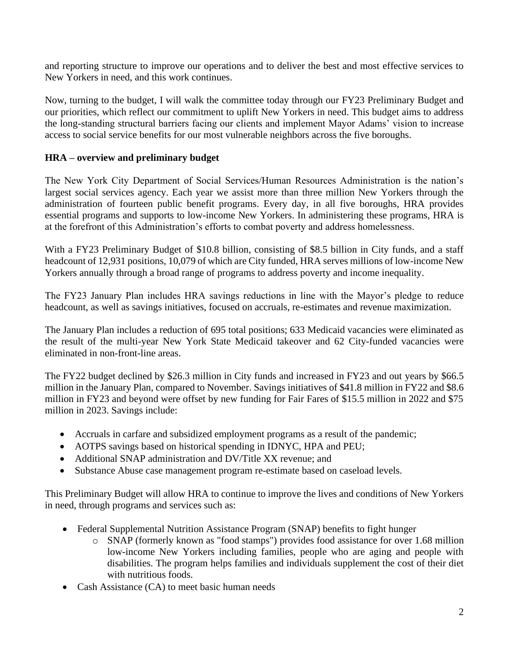and reporting structure to improve our operations and to deliver the best and most effective services to New Yorkers in need, and this work continues.

Now, turning to the budget, I will walk the committee today through our FY23 Preliminary Budget and our priorities, which reflect our commitment to uplift New Yorkers in need. This budget aims to address the long-standing structural barriers facing our clients and implement Mayor Adams' vision to increase access to social service benefits for our most vulnerable neighbors across the five boroughs.

### **HRA – overview and preliminary budget**

The New York City Department of Social Services/Human Resources Administration is the nation's largest social services agency. Each year we assist more than three million New Yorkers through the administration of fourteen public benefit programs. Every day, in all five boroughs, HRA provides essential programs and supports to low-income New Yorkers. In administering these programs, HRA is at the forefront of this Administration's efforts to combat poverty and address homelessness.

With a FY23 Preliminary Budget of \$10.8 billion, consisting of \$8.5 billion in City funds, and a staff headcount of 12,931 positions, 10,079 of which are City funded, HRA serves millions of low-income New Yorkers annually through a broad range of programs to address poverty and income inequality.

The FY23 January Plan includes HRA savings reductions in line with the Mayor's pledge to reduce headcount, as well as savings initiatives, focused on accruals, re-estimates and revenue maximization.

The January Plan includes a reduction of 695 total positions; 633 Medicaid vacancies were eliminated as the result of the multi-year New York State Medicaid takeover and 62 City-funded vacancies were eliminated in non-front-line areas.

The FY22 budget declined by \$26.3 million in City funds and increased in FY23 and out years by \$66.5 million in the January Plan, compared to November. Savings initiatives of \$41.8 million in FY22 and \$8.6 million in FY23 and beyond were offset by new funding for Fair Fares of \$15.5 million in 2022 and \$75 million in 2023. Savings include:

- Accruals in carfare and subsidized employment programs as a result of the pandemic;
- AOTPS savings based on historical spending in IDNYC, HPA and PEU;
- Additional SNAP administration and DV/Title XX revenue; and
- Substance Abuse case management program re-estimate based on caseload levels.

This Preliminary Budget will allow HRA to continue to improve the lives and conditions of New Yorkers in need, through programs and services such as:

- Federal Supplemental Nutrition Assistance Program (SNAP) benefits to fight hunger
	- o SNAP (formerly known as "food stamps") provides food assistance for over 1.68 million low-income New Yorkers including families, people who are aging and people with disabilities. The program helps families and individuals supplement the cost of their diet with nutritious foods.
- Cash Assistance (CA) to meet basic human needs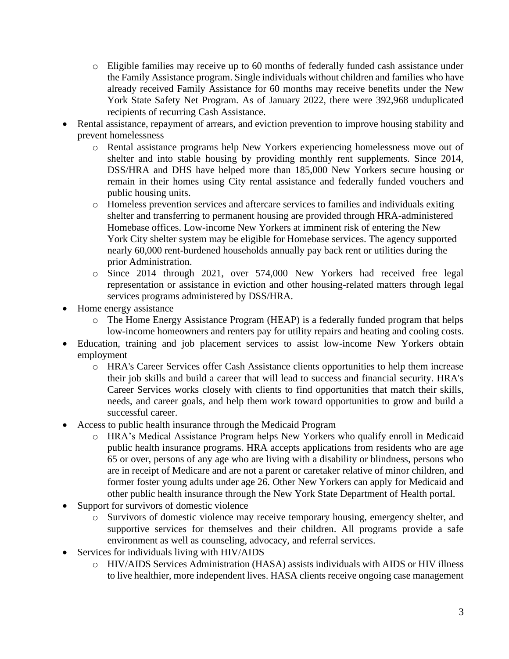- o Eligible families may receive up to 60 months of federally funded cash assistance under the Family Assistance program. Single individuals without children and families who have already received Family Assistance for 60 months may receive benefits under the New York State Safety Net Program. As of January 2022, there were 392,968 unduplicated recipients of recurring Cash Assistance.
- Rental assistance, repayment of arrears, and eviction prevention to improve housing stability and prevent homelessness
	- o Rental assistance programs help New Yorkers experiencing homelessness move out of shelter and into stable housing by providing monthly rent supplements. Since 2014, DSS/HRA and DHS have helped more than 185,000 New Yorkers secure housing or remain in their homes using City rental assistance and federally funded vouchers and public housing units.
	- o Homeless prevention services and aftercare services to families and individuals exiting shelter and transferring to permanent housing are provided through HRA-administered Homebase offices. Low-income New Yorkers at imminent risk of entering the New York City shelter system may be eligible for Homebase services. The agency supported nearly 60,000 rent-burdened households annually pay back rent or utilities during the prior Administration.
	- o Since 2014 through 2021, over 574,000 New Yorkers had received free legal representation or assistance in eviction and other housing-related matters through legal services programs administered by DSS/HRA.
- Home energy assistance
	- o The Home Energy Assistance Program (HEAP) is a federally funded program that helps low-income homeowners and renters pay for utility repairs and heating and cooling costs.
- Education, training and job placement services to assist low-income New Yorkers obtain employment
	- o HRA's Career Services offer Cash Assistance clients opportunities to help them increase their job skills and build a career that will lead to success and financial security. HRA's Career Services works closely with clients to find opportunities that match their skills, needs, and career goals, and help them work toward opportunities to grow and build a successful career.
- Access to public health insurance through the Medicaid Program
	- o HRA's Medical Assistance Program helps New Yorkers who qualify enroll in Medicaid public health insurance programs. HRA accepts applications from residents who are age 65 or over, persons of any age who are living with a disability or blindness, persons who are in receipt of Medicare and are not a parent or caretaker relative of minor children, and former foster young adults under age 26. Other New Yorkers can apply for Medicaid and other public health insurance through the New York State Department of Health portal.
- Support for survivors of domestic violence
	- o Survivors of domestic violence may receive temporary housing, emergency shelter, and supportive services for themselves and their children. All programs provide a safe environment as well as counseling, advocacy, and referral services.
- Services for individuals living with HIV/AIDS
	- o HIV/AIDS Services Administration (HASA) assists individuals with AIDS or HIV illness to live healthier, more independent lives. HASA clients receive ongoing case management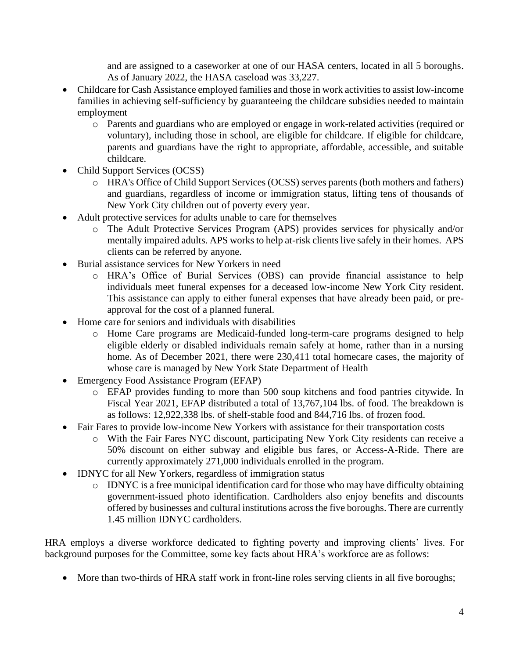and are assigned to a caseworker at one of our HASA centers, located in all 5 boroughs. As of January 2022, the HASA caseload was 33,227.

- Childcare for Cash Assistance employed families and those in work activities to assist low-income families in achieving self-sufficiency by guaranteeing the childcare subsidies needed to maintain employment
	- o Parents and guardians who are employed or engage in work-related activities (required or voluntary), including those in school, are eligible for childcare. If eligible for childcare, parents and guardians have the right to appropriate, affordable, accessible, and suitable childcare.
- Child Support Services (OCSS)
	- o HRA's Office of Child Support Services (OCSS) serves parents (both mothers and fathers) and guardians, regardless of income or immigration status, lifting tens of thousands of New York City children out of poverty every year.
- Adult protective services for adults unable to care for themselves
	- o The Adult Protective Services Program (APS) provides services for physically and/or mentally impaired adults. APS works to help at-risk clients live safely in their homes. APS clients can be referred by anyone.
- Burial assistance services for New Yorkers in need
	- o HRA's Office of Burial Services (OBS) can provide financial assistance to help individuals meet funeral expenses for a deceased low-income New York City resident. This assistance can apply to either funeral expenses that have already been paid, or preapproval for the cost of a planned funeral.
- Home care for seniors and individuals with disabilities
	- o Home Care programs are Medicaid-funded long-term-care programs designed to help eligible elderly or disabled individuals remain safely at home, rather than in a nursing home. As of December 2021, there were 230,411 total homecare cases, the majority of whose care is managed by New York State Department of Health
- Emergency Food Assistance Program (EFAP)
	- o EFAP provides funding to more than 500 soup kitchens and food pantries citywide. In Fiscal Year 2021, EFAP distributed a total of 13,767,104 lbs. of food. The breakdown is as follows: 12,922,338 lbs. of shelf-stable food and 844,716 lbs. of frozen food.
- Fair Fares to provide low-income New Yorkers with assistance for their transportation costs
	- o With the Fair Fares NYC discount, participating New York City residents can receive a 50% discount on either subway and eligible bus fares, or Access-A-Ride. There are currently approximately 271,000 individuals enrolled in the program.
- IDNYC for all New Yorkers, regardless of immigration status
	- o IDNYC is a free municipal identification card for those who may have difficulty obtaining government-issued photo identification. Cardholders also enjoy benefits and discounts offered by businesses and cultural institutions across the five boroughs. There are currently 1.45 million IDNYC cardholders.

HRA employs a diverse workforce dedicated to fighting poverty and improving clients' lives. For background purposes for the Committee, some key facts about HRA's workforce are as follows:

• More than two-thirds of HRA staff work in front-line roles serving clients in all five boroughs;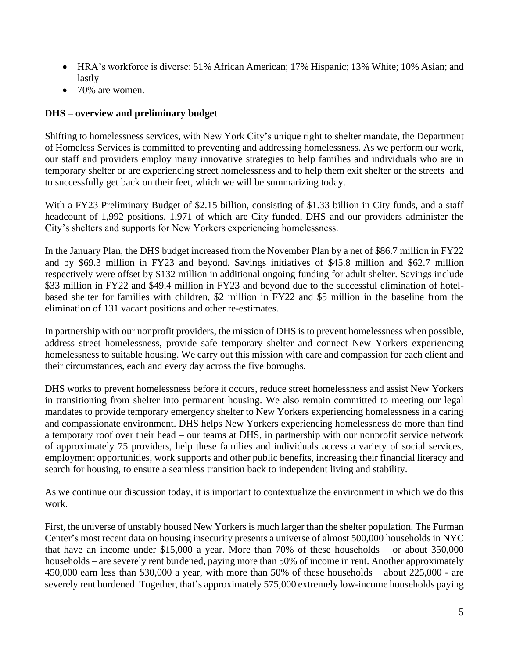- HRA's workforce is diverse: 51% African American; 17% Hispanic; 13% White; 10% Asian; and lastly
- 70% are women.

## **DHS – overview and preliminary budget**

Shifting to homelessness services, with New York City's unique right to shelter mandate, the Department of Homeless Services is committed to preventing and addressing homelessness. As we perform our work, our staff and providers employ many innovative strategies to help families and individuals who are in temporary shelter or are experiencing street homelessness and to help them exit shelter or the streets and to successfully get back on their feet, which we will be summarizing today.

With a FY23 Preliminary Budget of \$2.15 billion, consisting of \$1.33 billion in City funds, and a staff headcount of 1,992 positions, 1,971 of which are City funded, DHS and our providers administer the City's shelters and supports for New Yorkers experiencing homelessness.

In the January Plan, the DHS budget increased from the November Plan by a net of \$86.7 million in FY22 and by \$69.3 million in FY23 and beyond. Savings initiatives of \$45.8 million and \$62.7 million respectively were offset by \$132 million in additional ongoing funding for adult shelter. Savings include \$33 million in FY22 and \$49.4 million in FY23 and beyond due to the successful elimination of hotelbased shelter for families with children, \$2 million in FY22 and \$5 million in the baseline from the elimination of 131 vacant positions and other re-estimates.

In partnership with our nonprofit providers, the mission of DHS is to prevent homelessness when possible, address street homelessness, provide safe temporary shelter and connect New Yorkers experiencing homelessness to suitable housing. We carry out this mission with care and compassion for each client and their circumstances, each and every day across the five boroughs.

DHS works to prevent homelessness before it occurs, reduce street homelessness and assist New Yorkers in transitioning from shelter into permanent housing. We also remain committed to meeting our legal mandates to provide temporary emergency shelter to New Yorkers experiencing homelessness in a caring and compassionate environment. DHS helps New Yorkers experiencing homelessness do more than find a temporary roof over their head – our teams at DHS, in partnership with our nonprofit service network of approximately 75 providers, help these families and individuals access a variety of social services, employment opportunities, work supports and other public benefits, increasing their financial literacy and search for housing, to ensure a seamless transition back to independent living and stability.

As we continue our discussion today, it is important to contextualize the environment in which we do this work.

First, the universe of unstably housed New Yorkers is much larger than the shelter population. The Furman Center's most recent data on housing insecurity presents a universe of almost 500,000 households in NYC that have an income under \$15,000 a year. More than 70% of these households – or about 350,000 households – are severely rent burdened, paying more than 50% of income in rent. Another approximately 450,000 earn less than \$30,000 a year, with more than 50% of these households – about 225,000 - are severely rent burdened. Together, that's approximately 575,000 extremely low-income households paying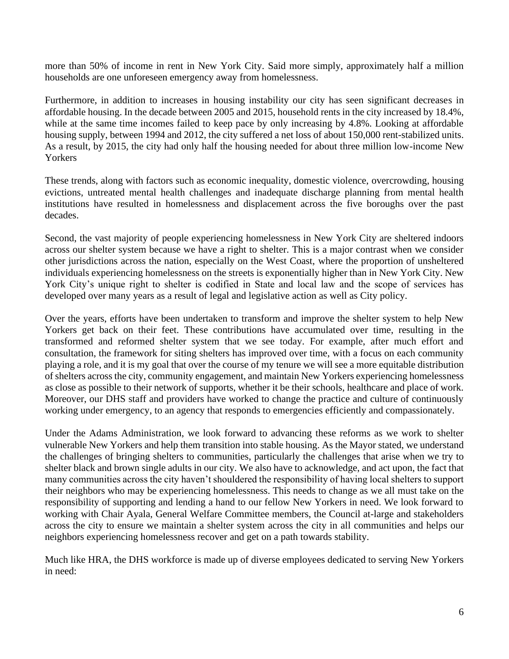more than 50% of income in rent in New York City. Said more simply, approximately half a million households are one unforeseen emergency away from homelessness.

Furthermore, in addition to increases in housing instability our city has seen significant decreases in affordable housing. In the decade between 2005 and 2015, household rents in the city increased by 18.4%, while at the same time incomes failed to keep pace by only increasing by 4.8%. Looking at affordable housing supply, between 1994 and 2012, the city suffered a net loss of about 150,000 rent-stabilized units. As a result, by 2015, the city had only half the housing needed for about three million low-income New Yorkers

These trends, along with factors such as economic inequality, domestic violence, overcrowding, housing evictions, untreated mental health challenges and inadequate discharge planning from mental health institutions have resulted in homelessness and displacement across the five boroughs over the past decades.

Second, the vast majority of people experiencing homelessness in New York City are sheltered indoors across our shelter system because we have a right to shelter. This is a major contrast when we consider other jurisdictions across the nation, especially on the West Coast, where the proportion of unsheltered individuals experiencing homelessness on the streets is exponentially higher than in New York City. New York City's unique right to shelter is codified in State and local law and the scope of services has developed over many years as a result of legal and legislative action as well as City policy.

Over the years, efforts have been undertaken to transform and improve the shelter system to help New Yorkers get back on their feet. These contributions have accumulated over time, resulting in the transformed and reformed shelter system that we see today. For example, after much effort and consultation, the framework for siting shelters has improved over time, with a focus on each community playing a role, and it is my goal that over the course of my tenure we will see a more equitable distribution of shelters across the city, community engagement, and maintain New Yorkers experiencing homelessness as close as possible to their network of supports, whether it be their schools, healthcare and place of work. Moreover, our DHS staff and providers have worked to change the practice and culture of continuously working under emergency, to an agency that responds to emergencies efficiently and compassionately.

Under the Adams Administration, we look forward to advancing these reforms as we work to shelter vulnerable New Yorkers and help them transition into stable housing. As the Mayor stated, we understand the challenges of bringing shelters to communities, particularly the challenges that arise when we try to shelter black and brown single adults in our city. We also have to acknowledge, and act upon, the fact that many communities across the city haven't shouldered the responsibility of having local shelters to support their neighbors who may be experiencing homelessness. This needs to change as we all must take on the responsibility of supporting and lending a hand to our fellow New Yorkers in need. We look forward to working with Chair Ayala, General Welfare Committee members, the Council at-large and stakeholders across the city to ensure we maintain a shelter system across the city in all communities and helps our neighbors experiencing homelessness recover and get on a path towards stability.

Much like HRA, the DHS workforce is made up of diverse employees dedicated to serving New Yorkers in need: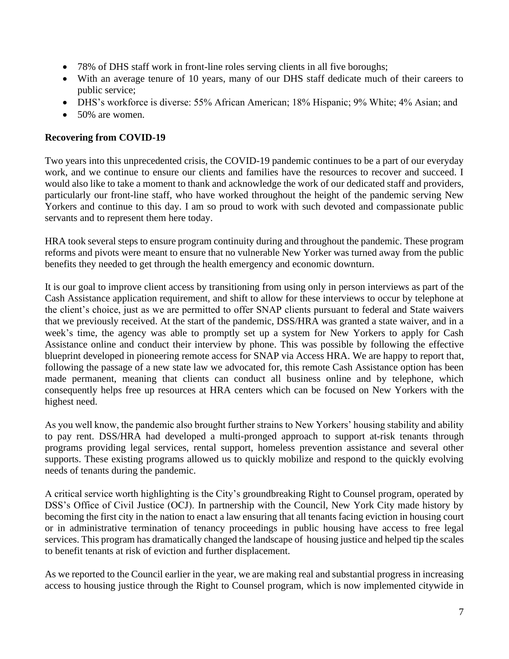- 78% of DHS staff work in front-line roles serving clients in all five boroughs;
- With an average tenure of 10 years, many of our DHS staff dedicate much of their careers to public service;
- DHS's workforce is diverse: 55% African American; 18% Hispanic; 9% White; 4% Asian; and
- 50% are women.

#### **Recovering from COVID-19**

Two years into this unprecedented crisis, the COVID-19 pandemic continues to be a part of our everyday work, and we continue to ensure our clients and families have the resources to recover and succeed. I would also like to take a moment to thank and acknowledge the work of our dedicated staff and providers, particularly our front-line staff, who have worked throughout the height of the pandemic serving New Yorkers and continue to this day. I am so proud to work with such devoted and compassionate public servants and to represent them here today.

HRA took several steps to ensure program continuity during and throughout the pandemic. These program reforms and pivots were meant to ensure that no vulnerable New Yorker was turned away from the public benefits they needed to get through the health emergency and economic downturn.

It is our goal to improve client access by transitioning from using only in person interviews as part of the Cash Assistance application requirement, and shift to allow for these interviews to occur by telephone at the client's choice, just as we are permitted to offer SNAP clients pursuant to federal and State waivers that we previously received. At the start of the pandemic, DSS/HRA was granted a state waiver, and in a week's time, the agency was able to promptly set up a system for New Yorkers to apply for Cash Assistance online and conduct their interview by phone. This was possible by following the effective blueprint developed in pioneering remote access for SNAP via Access HRA. We are happy to report that, following the passage of a new state law we advocated for, this remote Cash Assistance option has been made permanent, meaning that clients can conduct all business online and by telephone, which consequently helps free up resources at HRA centers which can be focused on New Yorkers with the highest need.

As you well know, the pandemic also brought further strains to New Yorkers' housing stability and ability to pay rent. DSS/HRA had developed a multi-pronged approach to support at-risk tenants through programs providing legal services, rental support, homeless prevention assistance and several other supports. These existing programs allowed us to quickly mobilize and respond to the quickly evolving needs of tenants during the pandemic.

A critical service worth highlighting is the City's groundbreaking Right to Counsel program, operated by DSS's Office of Civil Justice (OCJ). In partnership with the Council, New York City made history by becoming the first city in the nation to enact a law ensuring that all tenants facing eviction in housing court or in administrative termination of tenancy proceedings in public housing have access to free legal services. This program has dramatically changed the landscape of housing justice and helped tip the scales to benefit tenants at risk of eviction and further displacement.

As we reported to the Council earlier in the year, we are making real and substantial progress in increasing access to housing justice through the Right to Counsel program, which is now implemented citywide in